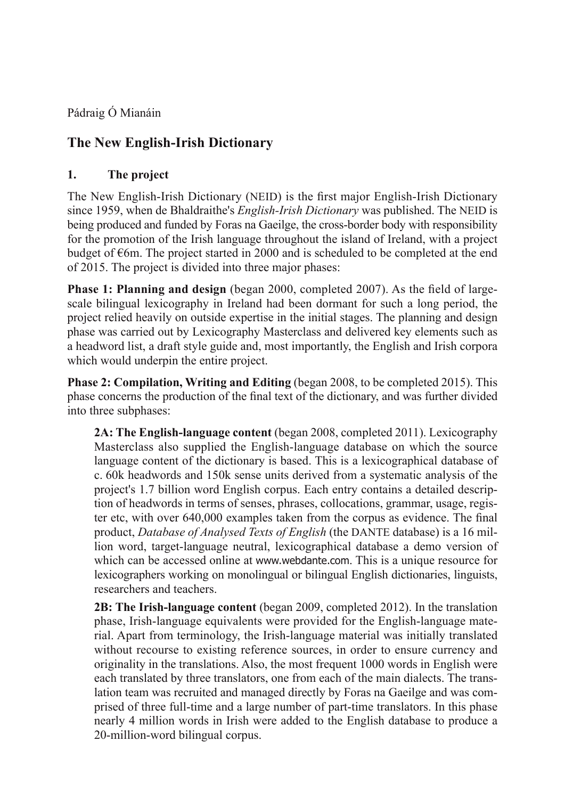Pádraig Ó Mianáin

# **The New English-Irish Dictionary**

### **1. The project**

The New English-Irish Dictionary (NEID) is the first major English-Irish Dictionary since 1959, when de Bhaldraithe's *English-Irish Dictionary* was published. The NEID is being produced and funded by Foras na Gaeilge, the cross-border body with responsibility for the promotion of the Irish language throughout the island of Ireland, with a project budget of  $\epsilon$ 6m. The project started in 2000 and is scheduled to be completed at the end of 2015. The project is divided into three major phases:

**Phase 1: Planning and design** (began 2000, completed 2007). As the field of largescale bilingual lexicography in Ireland had been dormant for such a long period, the project relied heavily on outside expertise in the initial stages. The planning and design phase was carried out by Lexicography Masterclass and delivered key elements such as a headword list, a draft style guide and, most importantly, the English and Irish corpora which would underpin the entire project.

**Phase 2: Compilation, Writing and Editing** (began 2008, to be completed 2015). This phase concerns the production of the final text of the dictionary, and was further divided into three subphases:

**2A: The English-language content** (began 2008, completed 2011). Lexicography Masterclass also supplied the English-language database on which the source language content of the dictionary is based. This is a lexicographical database of c. 60k headwords and 150k sense units derived from a systematic analysis of the project's 1.7 billion word English corpus. Each entry contains a detailed description of headwords in terms of senses, phrases, collocations, grammar, usage, register etc, with over 640,000 examples taken from the corpus as evidence. The final product, *Database of Analysed Texts of English* (the DANTE database) is a 16 million word, target-language neutral, lexicographical database a demo version of which can be accessed online at www.webdante.com. This is a unique resource for lexicographers working on monolingual or bilingual English dictionaries, linguists, researchers and teachers.

**2B: The Irish-language content** (began 2009, completed 2012). In the translation phase, Irish-language equivalents were provided for the English-language material. Apart from terminology, the Irish-language material was initially translated without recourse to existing reference sources, in order to ensure currency and originality in the translations. Also, the most frequent 1000 words in English were each translated by three translators, one from each of the main dialects. The translation team was recruited and managed directly by Foras na Gaeilge and was comprised of three full-time and a large number of part-time translators. In this phase nearly 4 million words in Irish were added to the English database to produce a 20-million-word bilingual corpus.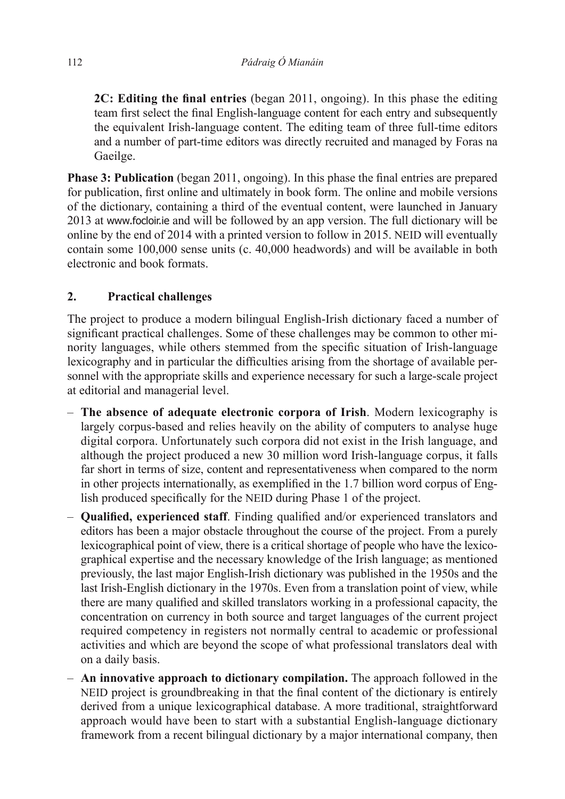**2C: Editing the final entries** (began 2011, ongoing). In this phase the editing team first select the final English-language content for each entry and subsequently the equivalent Irish-language content. The editing team of three full-time editors and a number of part-time editors was directly recruited and managed by Foras na Gaeilge.

**Phase 3: Publication** (began 2011, ongoing). In this phase the final entries are prepared for publication, first online and ultimately in book form. The online and mobile versions of the dictionary, containing a third of the eventual content, were launched in January 2013 at www.focloir.ie and will be followed by an app version. The full dictionary will be online by the end of 2014 with a printed version to follow in 2015. NEID will eventually contain some 100,000 sense units (c. 40,000 headwords) and will be available in both electronic and book formats.

## **2. Practical challenges**

The project to produce a modern bilingual English-Irish dictionary faced a number of significant practical challenges. Some of these challenges may be common to other minority languages, while others stemmed from the specific situation of Irish-language lexicography and in particular the difficulties arising from the shortage of available personnel with the appropriate skills and experience necessary for such a large-scale project at editorial and managerial level.

- **The absence of adequate electronic corpora of Irish**. Modern lexicography is largely corpus-based and relies heavily on the ability of computers to analyse huge digital corpora. Unfortunately such corpora did not exist in the Irish language, and although the project produced a new 30 million word Irish-language corpus, it falls far short in terms of size, content and representativeness when compared to the norm in other projects internationally, as exemplified in the 1.7 billion word corpus of English produced specifically for the NEID during Phase 1 of the project.
- **Qualified, experienced staff**. Finding qualified and/or experienced translators and editors has been a major obstacle throughout the course of the project. From a purely lexicographical point of view, there is a critical shortage of people who have the lexicographical expertise and the necessary knowledge of the Irish language; as mentioned previously, the last major English-Irish dictionary was published in the 1950s and the last Irish-English dictionary in the 1970s. Even from a translation point of view, while there are many qualified and skilled translators working in a professional capacity, the concentration on currency in both source and target languages of the current project required competency in registers not normally central to academic or professional activities and which are beyond the scope of what professional translators deal with on a daily basis.
- **An innovative approach to dictionary compilation.** The approach followed in the NEID project is groundbreaking in that the final content of the dictionary is entirely derived from a unique lexicographical database. A more traditional, straightforward approach would have been to start with a substantial English-language dictionary framework from a recent bilingual dictionary by a major international company, then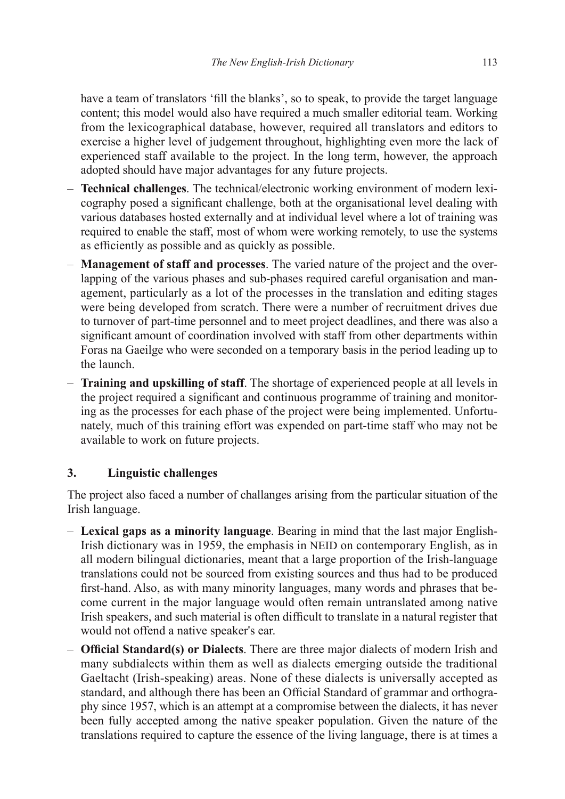have a team of translators 'fill the blanks', so to speak, to provide the target language content; this model would also have required a much smaller editorial team. Working from the lexicographical database, however, required all translators and editors to exercise a higher level of judgement throughout, highlighting even more the lack of experienced staff available to the project. In the long term, however, the approach adopted should have major advantages for any future projects.

- **Technical challenges**. The technical/electronic working environment of modern lexicography posed a significant challenge, both at the organisational level dealing with various databases hosted externally and at individual level where a lot of training was required to enable the staff, most of whom were working remotely, to use the systems as efficiently as possible and as quickly as possible.
- **Management of staff and processes**. The varied nature of the project and the overlapping of the various phases and sub-phases required careful organisation and management, particularly as a lot of the processes in the translation and editing stages were being developed from scratch. There were a number of recruitment drives due to turnover of part-time personnel and to meet project deadlines, and there was also a significant amount of coordination involved with staff from other departments within Foras na Gaeilge who were seconded on a temporary basis in the period leading up to the launch.
- **Training and upskilling of staff**. The shortage of experienced people at all levels in the project required a significant and continuous programme of training and monitoring as the processes for each phase of the project were being implemented. Unfortunately, much of this training effort was expended on part-time staff who may not be available to work on future projects.

#### **3. Linguistic challenges**

The project also faced a number of challanges arising from the particular situation of the Irish language.

- **Lexical gaps as a minority language**. Bearing in mind that the last major English-Irish dictionary was in 1959, the emphasis in NEID on contemporary English, as in all modern bilingual dictionaries, meant that a large proportion of the Irish-language translations could not be sourced from existing sources and thus had to be produced first-hand. Also, as with many minority languages, many words and phrases that become current in the major language would often remain untranslated among native Irish speakers, and such material is often difficult to translate in a natural register that would not offend a native speaker's ear.
- **Official Standard(s) or Dialects**. There are three major dialects of modern Irish and many subdialects within them as well as dialects emerging outside the traditional Gaeltacht (Irish-speaking) areas. None of these dialects is universally accepted as standard, and although there has been an Official Standard of grammar and orthography since 1957, which is an attempt at a compromise between the dialects, it has never been fully accepted among the native speaker population. Given the nature of the translations required to capture the essence of the living language, there is at times a